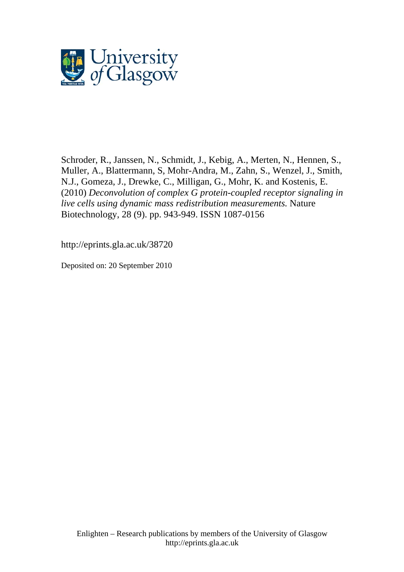

Schroder, R., Janssen, N., Schmidt, J., Kebig, A., Merten, N., Hennen, S., Muller, A., Blattermann, S, Mohr-Andra, M., Zahn, S., Wenzel, J., Smith, N.J., Gomeza, J., Drewke, C., Milligan, G., Mohr, K. and Kostenis, E. (2010) *Deconvolution of complex G protein-coupled receptor signaling in live cells using dynamic mass redistribution measurements.* Nature Biotechnology, 28 (9). pp. 943-949. ISSN 1087-0156

http://eprints.gla.ac.uk/38720

Deposited on: 20 September 2010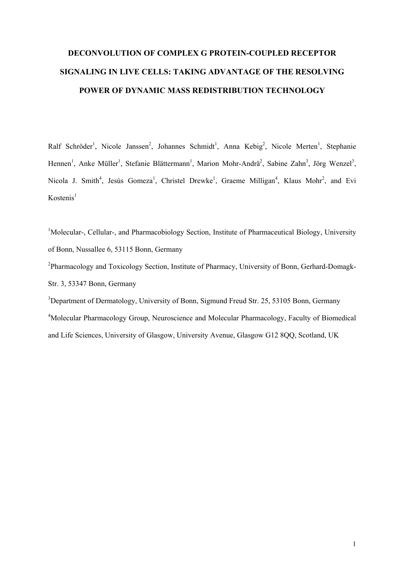### **DECONVOLUTION OF COMPLEX G PROTEIN-COUPLED RECEPTOR SIGNALING IN LIVE CELLS: TAKING ADVANTAGE OF THE RESOLVING POWER OF DYNAMIC MASS REDISTRIBUTION TECHNOLOGY**

Ralf Schröder<sup>1</sup>, Nicole Janssen<sup>2</sup>, Johannes Schmidt<sup>1</sup>, Anna Kebig<sup>2</sup>, Nicole Merten<sup>1</sup>, Stephanie Hennen<sup>1</sup>, Anke Müller<sup>1</sup>, Stefanie Blättermann<sup>1</sup>, Marion Mohr-Andrä<sup>2</sup>, Sabine Zahn<sup>3</sup>, Jörg Wenzel<sup>3</sup>, Nicola J. Smith<sup>4</sup>, Jesús Gomeza<sup>1</sup>, Christel Drewke<sup>1</sup>, Graeme Milligan<sup>4</sup>, Klaus Mohr<sup>2</sup>, and Evi  $K$ ostenis<sup>1</sup>

<sup>1</sup>Molecular-, Cellular-, and Pharmacobiology Section, Institute of Pharmaceutical Biology, University of Bonn, Nussallee 6, 53115 Bonn, Germany

<sup>2</sup>Pharmacology and Toxicology Section, Institute of Pharmacy, University of Bonn, Gerhard-Domagk-Str. 3, 53347 Bonn, Germany

<sup>3</sup>Department of Dermatology, University of Bonn, Sigmund Freud Str. 25, 53105 Bonn, Germany <sup>4</sup>Molecular Pharmacology Group, Neuroscience and Molecular Pharmacology, Faculty of Biomedical and Life Sciences, University of Glasgow, University Avenue, Glasgow G12 8QQ, Scotland, UK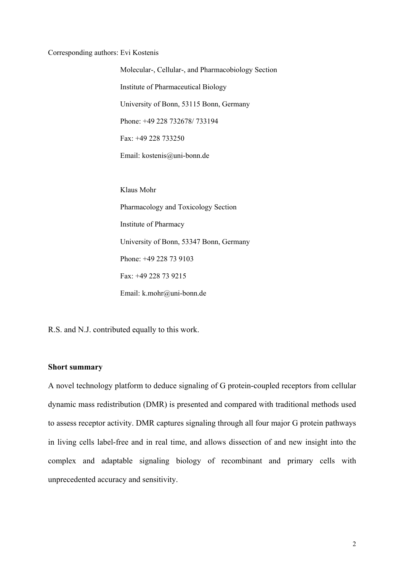#### Corresponding authors: Evi Kostenis

 Molecular-, Cellular-, and Pharmacobiology Section Institute of Pharmaceutical Biology University of Bonn, 53115 Bonn, Germany Phone: +49 228 732678/ 733194 Fax: +49 228 733250 Email: [kostenis@uni-bonn.de](mailto:kostenis@uni-bonn.de) 

Klaus Mohr Pharmacology and Toxicology Section Institute of Pharmacy University of Bonn, 53347 Bonn, Germany Phone: +49 228 73 9103 Fax: +49 228 73 9215 Email: k.mohr@uni-bonn.de

R.S. and N.J. contributed equally to this work.

### **Short summary**

A novel technology platform to deduce signaling of G protein-coupled receptors from cellular dynamic mass redistribution (DMR) is presented and compared with traditional methods used to assess receptor activity. DMR captures signaling through all four major G protein pathways in living cells label-free and in real time, and allows dissection of and new insight into the complex and adaptable signaling biology of recombinant and primary cells with unprecedented accuracy and sensitivity.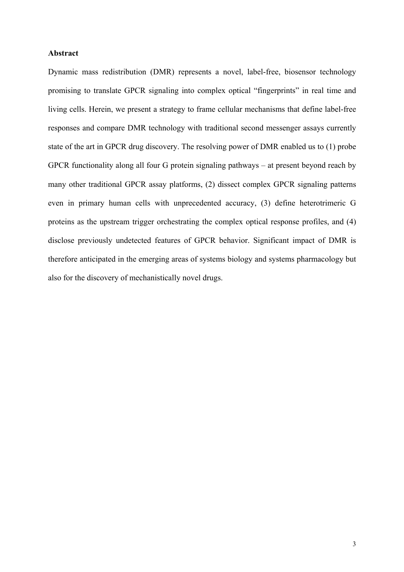### **Abstract**

Dynamic mass redistribution (DMR) represents a novel, label-free, biosensor technology promising to translate GPCR signaling into complex optical "fingerprints" in real time and living cells. Herein, we present a strategy to frame cellular mechanisms that define label-free responses and compare DMR technology with traditional second messenger assays currently state of the art in GPCR drug discovery. The resolving power of DMR enabled us to (1) probe GPCR functionality along all four G protein signaling pathways – at present beyond reach by many other traditional GPCR assay platforms, (2) dissect complex GPCR signaling patterns even in primary human cells with unprecedented accuracy, (3) define heterotrimeric G proteins as the upstream trigger orchestrating the complex optical response profiles, and (4) disclose previously undetected features of GPCR behavior. Significant impact of DMR is therefore anticipated in the emerging areas of systems biology and systems pharmacology but also for the discovery of mechanistically novel drugs.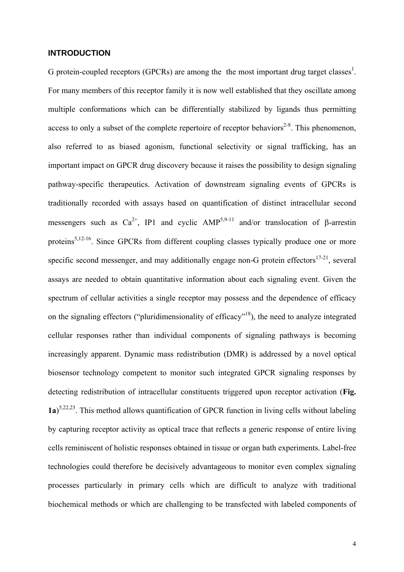### **INTRODUCTION**

G protein-coupled receptors (GPCRs) are among the the most important drug target classes<sup>1</sup>. For many members of this receptor family it is now well established that they oscillate among multiple conformations which can be differentially stabilized by ligands thus permitting access to only a subset of the complete repertoire of receptor behaviors<sup> $2-8$ </sup>. This phenomenon, also referred to as biased agonism, functional selectivity or signal trafficking, has an important impact on GPCR drug discovery because it raises the possibility to design signaling pathway-specific therapeutics. Activation of downstream signaling events of GPCRs is traditionally recorded with assays based on quantification of distinct intracellular second messengers such as  $Ca^{2+}$ , IP1 and cyclic AMP<sup>5,9-11</sup> and/or translocation of β-arrestin proteins<sup>5,12-16</sup>. Since GPCRs from different coupling classes typically produce one or more specific second messenger, and may additionally engage non-G protein effectors $17-21$ , several assays are needed to obtain quantitative information about each signaling event. Given the spectrum of cellular activities a single receptor may possess and the dependence of efficacy on the signaling effectors ("pluridimensionality of efficacy"<sup>18</sup>), the need to analyze integrated cellular responses rather than individual components of signaling pathways is becoming increasingly apparent. Dynamic mass redistribution (DMR) is addressed by a novel optical biosensor technology competent to monitor such integrated GPCR signaling responses by detecting redistribution of intracellular constituents triggered upon receptor activation (**Fig. 1a**) 5,22,23. This method allows quantification of GPCR function in living cells without labeling by capturing receptor activity as optical trace that reflects a generic response of entire living cells reminiscent of holistic responses obtained in tissue or organ bath experiments. Label-free technologies could therefore be decisively advantageous to monitor even complex signaling processes particularly in primary cells which are difficult to analyze with traditional biochemical methods or which are challenging to be transfected with labeled components of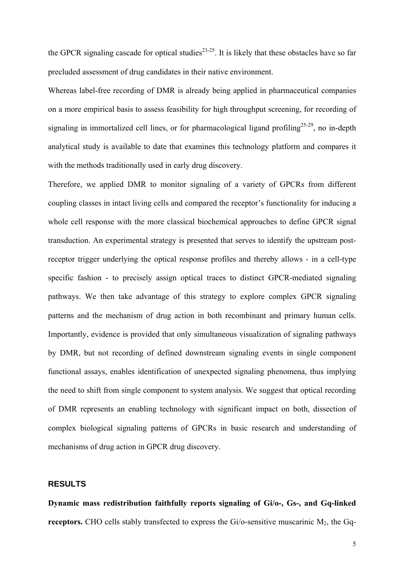the GPCR signaling cascade for optical studies<sup>23-25</sup>. It is likely that these obstacles have so far precluded assessment of drug candidates in their native environment.

Whereas label-free recording of DMR is already being applied in pharmaceutical companies on a more empirical basis to assess feasibility for high throughput screening, for recording of signaling in immortalized cell lines, or for pharmacological ligand profiling<sup>25-29</sup>, no in-depth analytical study is available to date that examines this technology platform and compares it with the methods traditionally used in early drug discovery.

Therefore, we applied DMR to monitor signaling of a variety of GPCRs from different coupling classes in intact living cells and compared the receptor's functionality for inducing a whole cell response with the more classical biochemical approaches to define GPCR signal transduction. An experimental strategy is presented that serves to identify the upstream postreceptor trigger underlying the optical response profiles and thereby allows - in a cell-type specific fashion - to precisely assign optical traces to distinct GPCR-mediated signaling pathways. We then take advantage of this strategy to explore complex GPCR signaling patterns and the mechanism of drug action in both recombinant and primary human cells. Importantly, evidence is provided that only simultaneous visualization of signaling pathways by DMR, but not recording of defined downstream signaling events in single component functional assays, enables identification of unexpected signaling phenomena, thus implying the need to shift from single component to system analysis. We suggest that optical recording of DMR represents an enabling technology with significant impact on both, dissection of complex biological signaling patterns of GPCRs in basic research and understanding of mechanisms of drug action in GPCR drug discovery.

### **RESULTS**

**Dynamic mass redistribution faithfully reports signaling of Gi/o-, Gs-, and Gq-linked receptors.** CHO cells stably transfected to express the  $Gi/O$ -sensitive muscarinic  $M_2$ , the  $Gq$ -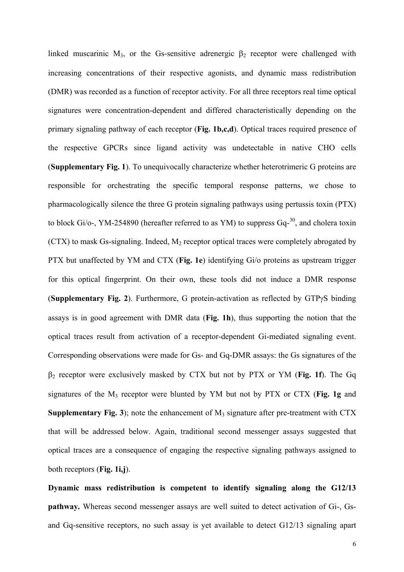linked muscarinic M<sub>3</sub>, or the Gs-sensitive adrenergic  $\beta_2$  receptor were challenged with increasing concentrations of their respective agonists, and dynamic mass redistribution (DMR) was recorded as a function of receptor activity. For all three receptors real time optical signatures were concentration-dependent and differed characteristically depending on the primary signaling pathway of each receptor (**Fig. 1b,c,d**). Optical traces required presence of the respective GPCRs since ligand activity was undetectable in native CHO cells (**Supplementary Fig. 1**). To unequivocally characterize whether heterotrimeric G proteins are responsible for orchestrating the specific temporal response patterns, we chose to pharmacologically silence the three G protein signaling pathways using pertussis toxin (PTX) to block Gi/o-, YM-254890 (hereafter referred to as YM) to suppress  $Ga<sup>30</sup>$ , and cholera toxin  $(CTX)$  to mask Gs-signaling. Indeed,  $M<sub>2</sub>$  receptor optical traces were completely abrogated by PTX but unaffected by YM and CTX (**Fig. 1e**) identifying Gi/o proteins as upstream trigger for this optical fingerprint. On their own, these tools did not induce a DMR response (**Supplementary Fig. 2**). Furthermore, G protein-activation as reflected by GTPγS binding assays is in good agreement with DMR data (**Fig. 1h**), thus supporting the notion that the optical traces result from activation of a receptor-dependent Gi-mediated signaling event. Corresponding observations were made for Gs- and Gq-DMR assays: the Gs signatures of the β2 receptor were exclusively masked by CTX but not by PTX or YM (**Fig. 1f**). The Gq signatures of the M3 receptor were blunted by YM but not by PTX or CTX (**Fig. 1g** and **Supplementary Fig. 3**); note the enhancement of  $M_3$  signature after pre-treatment with CTX that will be addressed below. Again, traditional second messenger assays suggested that optical traces are a consequence of engaging the respective signaling pathways assigned to both receptors (**Fig. 1i,j**).

**Dynamic mass redistribution is competent to identify signaling along the G12/13 pathway.** Whereas second messenger assays are well suited to detect activation of Gi-, Gsand Gq-sensitive receptors, no such assay is yet available to detect G12/13 signaling apart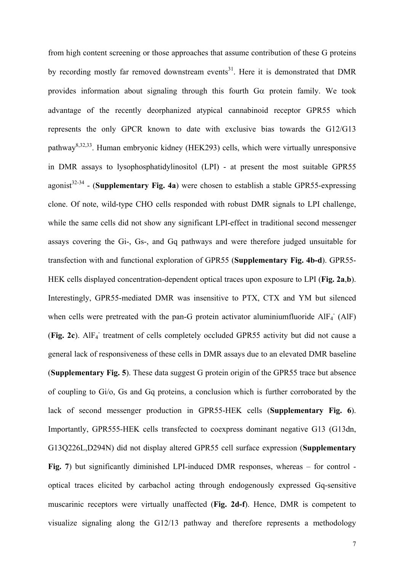from high content screening or those approaches that assume contribution of these G proteins by recording mostly far removed downstream events<sup>31</sup>. Here it is demonstrated that DMR provides information about signaling through this fourth  $G\alpha$  protein family. We took advantage of the recently deorphanized atypical cannabinoid receptor GPR55 which represents the only GPCR known to date with exclusive bias towards the G12/G13 pathway8,32,33. Human embryonic kidney (HEK293) cells, which were virtually unresponsive in DMR assays to lysophosphatidylinositol (LPI) - at present the most suitable GPR55 agonist<sup>32-34</sup> - (**Supplementary Fig. 4a**) were chosen to establish a stable GPR55-expressing clone. Of note, wild-type CHO cells responded with robust DMR signals to LPI challenge, while the same cells did not show any significant LPI-effect in traditional second messenger assays covering the Gi-, Gs-, and Gq pathways and were therefore judged unsuitable for transfection with and functional exploration of GPR55 (**Supplementary Fig. 4b-d**). GPR55- HEK cells displayed concentration-dependent optical traces upon exposure to LPI (**Fig. 2a**,**b**). Interestingly, GPR55-mediated DMR was insensitive to PTX, CTX and YM but silenced when cells were pretreated with the pan-G protein activator aluminiumfluoride AlF<sub>4</sub> (AlF) (Fig. 2c). AlF<sub>4</sub> treatment of cells completely occluded GPR55 activity but did not cause a general lack of responsiveness of these cells in DMR assays due to an elevated DMR baseline (**Supplementary Fig. 5**). These data suggest G protein origin of the GPR55 trace but absence of coupling to Gi/o, Gs and Gq proteins, a conclusion which is further corroborated by the lack of second messenger production in GPR55-HEK cells (**Supplementary Fig. 6**). Importantly, GPR555-HEK cells transfected to coexpress dominant negative G13 (G13dn, G13Q226L,D294N) did not display altered GPR55 cell surface expression (**Supplementary Fig. 7**) but significantly diminished LPI-induced DMR responses, whereas – for control optical traces elicited by carbachol acting through endogenously expressed Gq-sensitive muscarinic receptors were virtually unaffected (**Fig. 2d-f**). Hence, DMR is competent to visualize signaling along the G12/13 pathway and therefore represents a methodology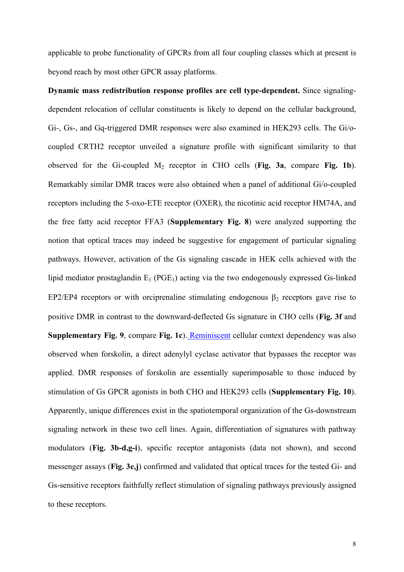applicable to probe functionality of GPCRs from all four coupling classes which at present is beyond reach by most other GPCR assay platforms.

**Dynamic mass redistribution response profiles are cell type-dependent.** Since signalingdependent relocation of cellular constituents is likely to depend on the cellular background, Gi-, Gs-, and Gq-triggered DMR responses were also examined in HEK293 cells. The Gi/ocoupled CRTH2 receptor unveiled a signature profile with significant similarity to that observed for the Gi-coupled  $M_2$  receptor in CHO cells (**Fig. 3a**, compare **Fig. 1b**). Remarkably similar DMR traces were also obtained when a panel of additional Gi/o-coupled receptors including the 5-oxo-ETE receptor (OXER), the nicotinic acid receptor HM74A, and the free fatty acid receptor FFA3 (**Supplementary Fig. 8**) were analyzed supporting the notion that optical traces may indeed be suggestive for engagement of particular signaling pathways. However, activation of the Gs signaling cascade in HEK cells achieved with the lipid mediator prostaglandin  $E_1$  (PGE<sub>1</sub>) acting via the two endogenously expressed Gs-linked EP2/EP4 receptors or with orciprenaline stimulating endogenous  $\beta_2$  receptors gave rise to positive DMR in contrast to the downward-deflected Gs signature in CHO cells (**Fig. 3f** and Supplementary Fig. 9, compare Fig. 1c). Reminiscent cellular context dependency was also observed when forskolin, a direct adenylyl cyclase activator that bypasses the receptor was applied. DMR responses of forskolin are essentially superimposable to those induced by stimulation of Gs GPCR agonists in both CHO and HEK293 cells (**Supplementary Fig. 10**). Apparently, unique differences exist in the spatiotemporal organization of the Gs-downstream signaling network in these two cell lines. Again, differentiation of signatures with pathway modulators (**Fig. 3b-d,g-i**), specific receptor antagonists (data not shown), and second messenger assays (**Fig. 3e,j**) confirmed and validated that optical traces for the tested Gi- and Gs-sensitive receptors faithfully reflect stimulation of signaling pathways previously assigned to these receptors.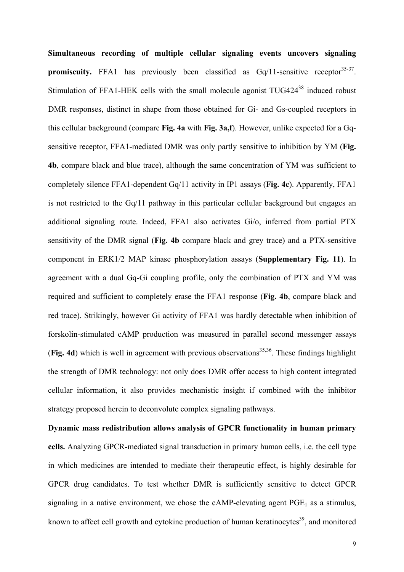**Simultaneous recording of multiple cellular signaling events uncovers signaling promiscuity.** FFA1 has previously been classified as  $Gq/11$ -sensitive receptor  $35-37$ . Stimulation of FFA1-HEK cells with the small molecule agonist TUG424<sup>38</sup> induced robust DMR responses, distinct in shape from those obtained for Gi- and Gs-coupled receptors in this cellular background (compare **Fig. 4a** with **Fig. 3a,f**). However, unlike expected for a Gqsensitive receptor, FFA1-mediated DMR was only partly sensitive to inhibition by YM (**Fig. 4b**, compare black and blue trace), although the same concentration of YM was sufficient to completely silence FFA1-dependent Gq/11 activity in IP1 assays (**Fig. 4c**). Apparently, FFA1 is not restricted to the Gq/11 pathway in this particular cellular background but engages an additional signaling route. Indeed, FFA1 also activates Gi/o, inferred from partial PTX sensitivity of the DMR signal (**Fig. 4b** compare black and grey trace) and a PTX-sensitive component in ERK1/2 MAP kinase phosphorylation assays (**Supplementary Fig. 11**). In agreement with a dual Gq-Gi coupling profile, only the combination of PTX and YM was required and sufficient to completely erase the FFA1 response (**Fig. 4b**, compare black and red trace). Strikingly, however Gi activity of FFA1 was hardly detectable when inhibition of forskolin-stimulated cAMP production was measured in parallel second messenger assays (**Fig. 4d**) which is well in agreement with previous observations<sup>35,36</sup>. These findings highlight the strength of DMR technology: not only does DMR offer access to high content integrated cellular information, it also provides mechanistic insight if combined with the inhibitor strategy proposed herein to deconvolute complex signaling pathways.

**Dynamic mass redistribution allows analysis of GPCR functionality in human primary cells.** Analyzing GPCR-mediated signal transduction in primary human cells, i.e. the cell type in which medicines are intended to mediate their therapeutic effect, is highly desirable for GPCR drug candidates. To test whether DMR is sufficiently sensitive to detect GPCR signaling in a native environment, we chose the cAMP-elevating agent  $PGE<sub>1</sub>$  as a stimulus, known to affect cell growth and cytokine production of human keratinocytes<sup>39</sup>, and monitored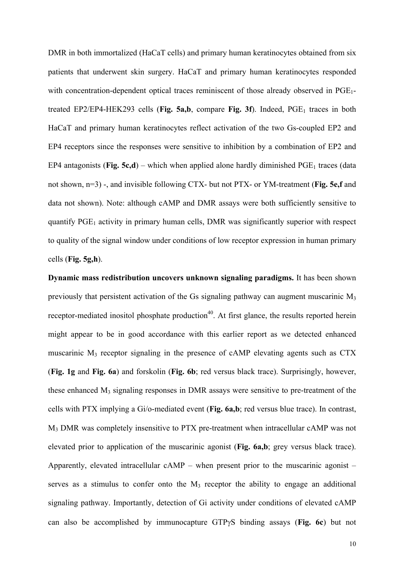DMR in both immortalized (HaCaT cells) and primary human keratinocytes obtained from six patients that underwent skin surgery. HaCaT and primary human keratinocytes responded with concentration-dependent optical traces reminiscent of those already observed in PGE<sub>1</sub>treated EP2/EP4-HEK293 cells (**Fig. 5a,b**, compare **Fig. 3f**). Indeed, PGE<sub>1</sub> traces in both HaCaT and primary human keratinocytes reflect activation of the two Gs-coupled EP2 and EP4 receptors since the responses were sensitive to inhibition by a combination of EP2 and EP4 antagonists (**Fig. 5c,d**) – which when applied alone hardly diminished  $PGE_1$  traces (data not shown, n=3) -, and invisible following CTX- but not PTX- or YM-treatment (**Fig. 5e,f** and data not shown). Note: although cAMP and DMR assays were both sufficiently sensitive to quantify  $PGE_1$  activity in primary human cells, DMR was significantly superior with respect to quality of the signal window under conditions of low receptor expression in human primary cells (**Fig. 5g,h**).

**Dynamic mass redistribution uncovers unknown signaling paradigms.** It has been shown previously that persistent activation of the Gs signaling pathway can augment muscarinic  $M_3$ receptor-mediated inositol phosphate production<sup>40</sup>. At first glance, the results reported herein might appear to be in good accordance with this earlier report as we detected enhanced muscarinic M3 receptor signaling in the presence of cAMP elevating agents such as CTX (**Fig. 1g** and **Fig. 6a**) and forskolin (**Fig. 6b**; red versus black trace). Surprisingly, however, these enhanced  $M_3$  signaling responses in DMR assays were sensitive to pre-treatment of the cells with PTX implying a Gi/o-mediated event (**Fig. 6a,b**; red versus blue trace). In contrast, M3 DMR was completely insensitive to PTX pre-treatment when intracellular cAMP was not elevated prior to application of the muscarinic agonist (**Fig. 6a,b**; grey versus black trace). Apparently, elevated intracellular cAMP – when present prior to the muscarinic agonist – serves as a stimulus to confer onto the  $M<sub>3</sub>$  receptor the ability to engage an additional signaling pathway. Importantly, detection of Gi activity under conditions of elevated cAMP can also be accomplished by immunocapture GTPγS binding assays (**Fig. 6c**) but not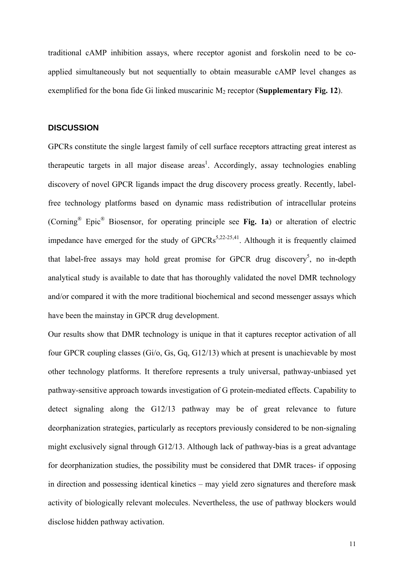traditional cAMP inhibition assays, where receptor agonist and forskolin need to be coapplied simultaneously but not sequentially to obtain measurable cAMP level changes as exemplified for the bona fide Gi linked muscarinic  $M_2$  receptor (**Supplementary Fig. 12**).

#### **DISCUSSION**

GPCRs constitute the single largest family of cell surface receptors attracting great interest as therapeutic targets in all major disease areas<sup>1</sup>. Accordingly, assay technologies enabling discovery of novel GPCR ligands impact the drug discovery process greatly. Recently, labelfree technology platforms based on dynamic mass redistribution of intracellular proteins (Corning® Epic® Biosensor, for operating principle see **Fig. 1a**) or alteration of electric impedance have emerged for the study of  $GPCRs^{5,22-25,41}$ . Although it is frequently claimed that label-free assays may hold great promise for GPCR drug discovery<sup>5</sup>, no in-depth analytical study is available to date that has thoroughly validated the novel DMR technology and/or compared it with the more traditional biochemical and second messenger assays which have been the mainstay in GPCR drug development.

Our results show that DMR technology is unique in that it captures receptor activation of all four GPCR coupling classes (Gi/o, Gs, Gq, G12/13) which at present is unachievable by most other technology platforms. It therefore represents a truly universal, pathway-unbiased yet pathway-sensitive approach towards investigation of G protein-mediated effects. Capability to detect signaling along the G12/13 pathway may be of great relevance to future deorphanization strategies, particularly as receptors previously considered to be non-signaling might exclusively signal through G12/13. Although lack of pathway-bias is a great advantage for deorphanization studies, the possibility must be considered that DMR traces- if opposing in direction and possessing identical kinetics – may yield zero signatures and therefore mask activity of biologically relevant molecules. Nevertheless, the use of pathway blockers would disclose hidden pathway activation.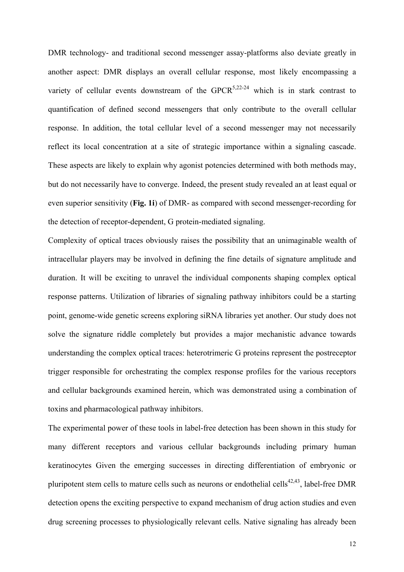DMR technology- and traditional second messenger assay-platforms also deviate greatly in another aspect: DMR displays an overall cellular response, most likely encompassing a variety of cellular events downstream of the GPCR<sup>5,22-24</sup> which is in stark contrast to quantification of defined second messengers that only contribute to the overall cellular response. In addition, the total cellular level of a second messenger may not necessarily reflect its local concentration at a site of strategic importance within a signaling cascade. These aspects are likely to explain why agonist potencies determined with both methods may, but do not necessarily have to converge. Indeed, the present study revealed an at least equal or even superior sensitivity (**Fig. 1i**) of DMR- as compared with second messenger-recording for the detection of receptor-dependent, G protein-mediated signaling.

Complexity of optical traces obviously raises the possibility that an unimaginable wealth of intracellular players may be involved in defining the fine details of signature amplitude and duration. It will be exciting to unravel the individual components shaping complex optical response patterns. Utilization of libraries of signaling pathway inhibitors could be a starting point, genome-wide genetic screens exploring siRNA libraries yet another. Our study does not solve the signature riddle completely but provides a major mechanistic advance towards understanding the complex optical traces: heterotrimeric G proteins represent the postreceptor trigger responsible for orchestrating the complex response profiles for the various receptors and cellular backgrounds examined herein, which was demonstrated using a combination of toxins and pharmacological pathway inhibitors.

The experimental power of these tools in label-free detection has been shown in this study for many different receptors and various cellular backgrounds including primary human keratinocytes Given the emerging successes in directing differentiation of embryonic or pluripotent stem cells to mature cells such as neurons or endothelial cells<sup>42,43</sup>, label-free DMR detection opens the exciting perspective to expand mechanism of drug action studies and even drug screening processes to physiologically relevant cells. Native signaling has already been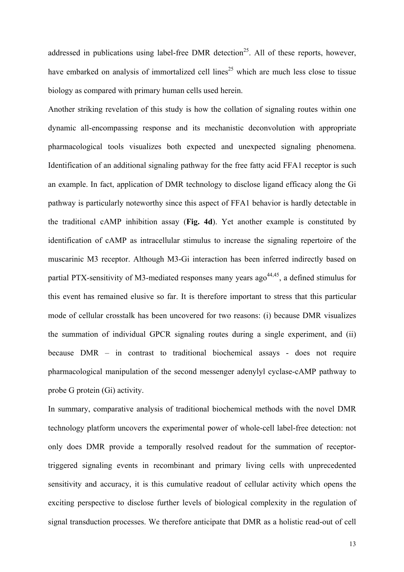addressed in publications using label-free DMR detection<sup>25</sup>. All of these reports, however, have embarked on analysis of immortalized cell lines<sup>25</sup> which are much less close to tissue biology as compared with primary human cells used herein.

Another striking revelation of this study is how the collation of signaling routes within one dynamic all-encompassing response and its mechanistic deconvolution with appropriate pharmacological tools visualizes both expected and unexpected signaling phenomena. Identification of an additional signaling pathway for the free fatty acid FFA1 receptor is such an example. In fact, application of DMR technology to disclose ligand efficacy along the Gi pathway is particularly noteworthy since this aspect of FFA1 behavior is hardly detectable in the traditional cAMP inhibition assay (**Fig. 4d**). Yet another example is constituted by identification of cAMP as intracellular stimulus to increase the signaling repertoire of the muscarinic M3 receptor. Although M3-Gi interaction has been inferred indirectly based on partial PTX-sensitivity of M3-mediated responses many years ago<sup> $44,45$ </sup>, a defined stimulus for this event has remained elusive so far. It is therefore important to stress that this particular mode of cellular crosstalk has been uncovered for two reasons: (i) because DMR visualizes the summation of individual GPCR signaling routes during a single experiment, and (ii) because DMR – in contrast to traditional biochemical assays - does not require pharmacological manipulation of the second messenger adenylyl cyclase-cAMP pathway to probe G protein (Gi) activity.

In summary, comparative analysis of traditional biochemical methods with the novel DMR technology platform uncovers the experimental power of whole-cell label-free detection: not only does DMR provide a temporally resolved readout for the summation of receptortriggered signaling events in recombinant and primary living cells with unprecedented sensitivity and accuracy, it is this cumulative readout of cellular activity which opens the exciting perspective to disclose further levels of biological complexity in the regulation of signal transduction processes. We therefore anticipate that DMR as a holistic read-out of cell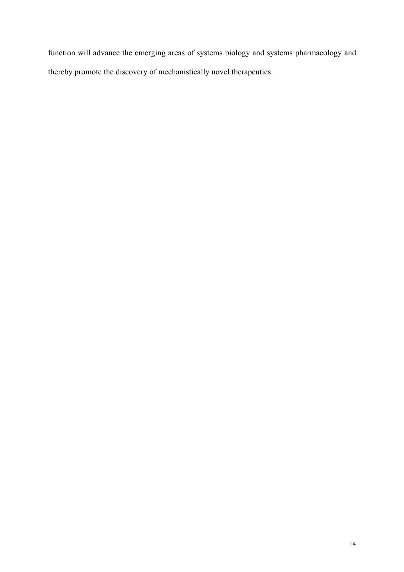function will advance the emerging areas of systems biology and systems pharmacology and thereby promote the discovery of mechanistically novel therapeutics.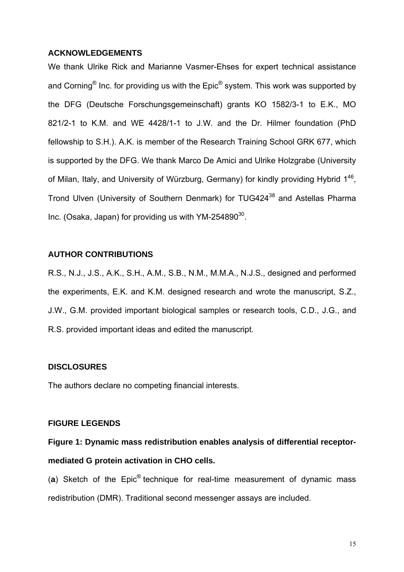### **ACKNOWLEDGEMENTS**

We thank Ulrike Rick and Marianne Vasmer-Ehses for expert technical assistance and Corning<sup>®</sup> Inc. for providing us with the  $Epic<sup>®</sup>$  system. This work was supported by the DFG (Deutsche Forschungsgemeinschaft) grants KO 1582/3-1 to E.K., MO 821/2-1 to K.M. and WE 4428/1-1 to J.W. and the Dr. Hilmer foundation (PhD fellowship to S.H.). A.K. is member of the Research Training School GRK 677, which is supported by the DFG. We thank Marco De Amici and Ulrike Holzgrabe (University of Milan, Italy, and University of Würzburg, Germany) for kindly providing Hybrid 146, Trond Ulven (University of Southern Denmark) for TUG424<sup>38</sup> and Astellas Pharma Inc. (Osaka, Japan) for providing us with  $YM-254890^{30}$ .

### **AUTHOR CONTRIBUTIONS**

R.S., N.J., J.S., A.K., S.H., A.M., S.B., N.M., M.M.A., N.J.S., designed and performed the experiments, E.K. and K.M. designed research and wrote the manuscript, S.Z., J.W., G.M. provided important biological samples or research tools, C.D., J.G., and R.S. provided important ideas and edited the manuscript.

### **DISCLOSURES**

The authors declare no competing financial interests.

### **FIGURE LEGENDS**

**Figure 1: Dynamic mass redistribution enables analysis of differential receptormediated G protein activation in CHO cells.** 

(**a**) Sketch of the Epic® technique for real-time measurement of dynamic mass redistribution (DMR). Traditional second messenger assays are included.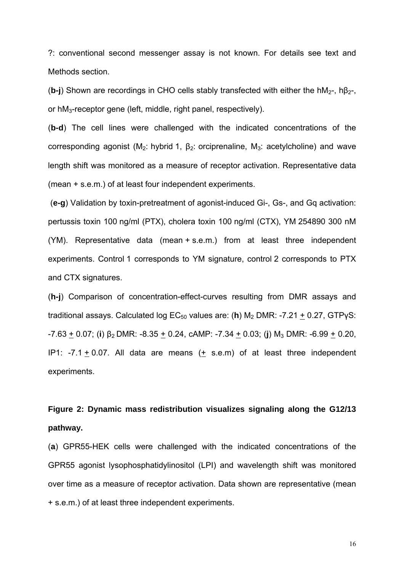?: conventional second messenger assay is not known. For details see text and Methods section.

(**b-j**) Shown are recordings in CHO cells stably transfected with either the hM2-, hβ2-, or hM3-receptor gene (left, middle, right panel, respectively).

(**b-d**) The cell lines were challenged with the indicated concentrations of the corresponding agonist (M<sub>2</sub>: hybrid 1, β<sub>2</sub>: orciprenaline, M<sub>3</sub>: acetylcholine) and wave length shift was monitored as a measure of receptor activation. Representative data (mean + s.e.m.) of at least four independent experiments.

 (**e-g**) Validation by toxin-pretreatment of agonist-induced Gi-, Gs-, and Gq activation: pertussis toxin 100 ng/ml (PTX), cholera toxin 100 ng/ml (CTX), YM 254890 300 nM (YM). Representative data (mean + s.e.m.) from at least three independent experiments. Control 1 corresponds to YM signature, control 2 corresponds to PTX and CTX signatures.

(**h-j**) Comparison of concentration-effect-curves resulting from DMR assays and traditional assays. Calculated log  $EC_{50}$  values are: (**h**) M<sub>2</sub> DMR: -7.21  $\pm$  0.27, GTPyS: -7.63 + 0.07; (**i**) β2 DMR: -8.35 + 0.24, cAMP: -7.34 + 0.03; (**j**) M3 DMR: -6.99 + 0.20, IP1: -7.1 + 0.07. All data are means (+ s.e.m) of at least three independent experiments.

### **Figure 2: Dynamic mass redistribution visualizes signaling along the G12/13 pathway.**

(**a**) GPR55-HEK cells were challenged with the indicated concentrations of the GPR55 agonist lysophosphatidylinositol (LPI) and wavelength shift was monitored over time as a measure of receptor activation. Data shown are representative (mean + s.e.m.) of at least three independent experiments.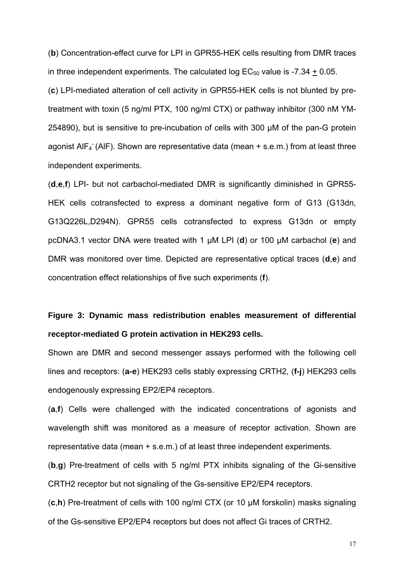(**b**) Concentration-effect curve for LPI in GPR55-HEK cells resulting from DMR traces in three independent experiments. The calculated log  $EC_{50}$  value is -7.34 + 0.05.

(**c**) LPI-mediated alteration of cell activity in GPR55-HEK cells is not blunted by pretreatment with toxin (5 ng/ml PTX, 100 ng/ml CTX) or pathway inhibitor (300 nM YM-254890), but is sensitive to pre-incubation of cells with 300 µM of the pan-G protein agonist  $AIF_4^-$  (AIF). Shown are representative data (mean  $+$  s.e.m.) from at least three independent experiments.

(**d**,**e**,**f**) LPI- but not carbachol-mediated DMR is significantly diminished in GPR55- HEK cells cotransfected to express a dominant negative form of G13 (G13dn, G13Q226L,D294N). GPR55 cells cotransfected to express G13dn or empty pcDNA3.1 vector DNA were treated with 1 µM LPI (**d**) or 100 µM carbachol (**e**) and DMR was monitored over time. Depicted are representative optical traces (**d**,**e**) and concentration effect relationships of five such experiments (**f**).

### **Figure 3: Dynamic mass redistribution enables measurement of differential receptor-mediated G protein activation in HEK293 cells.**

Shown are DMR and second messenger assays performed with the following cell lines and receptors: (**a-e**) HEK293 cells stably expressing CRTH2, (**f-j**) HEK293 cells endogenously expressing EP2/EP4 receptors.

(**a**,**f**) Cells were challenged with the indicated concentrations of agonists and wavelength shift was monitored as a measure of receptor activation. Shown are representative data (mean + s.e.m.) of at least three independent experiments.

(**b**,**g**) Pre-treatment of cells with 5 ng/ml PTX inhibits signaling of the Gi-sensitive CRTH2 receptor but not signaling of the Gs-sensitive EP2/EP4 receptors.

(**c**,**h**) Pre-treatment of cells with 100 ng/ml CTX (or 10 µM forskolin) masks signaling of the Gs-sensitive EP2/EP4 receptors but does not affect Gi traces of CRTH2.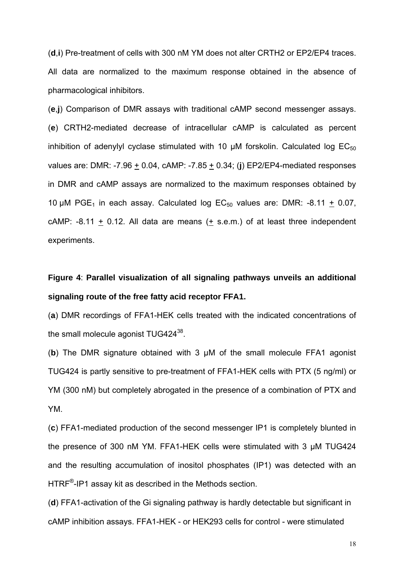(**d**,**i**) Pre-treatment of cells with 300 nM YM does not alter CRTH2 or EP2/EP4 traces. All data are normalized to the maximum response obtained in the absence of pharmacological inhibitors.

(**e**,**j**) Comparison of DMR assays with traditional cAMP second messenger assays. (**e**) CRTH2-mediated decrease of intracellular cAMP is calculated as percent inhibition of adenylyl cyclase stimulated with 10  $\mu$ M forskolin. Calculated log  $EC_{50}$ values are: DMR: -7.96 + 0.04, cAMP: -7.85 + 0.34; (**j**) EP2/EP4-mediated responses in DMR and cAMP assays are normalized to the maximum responses obtained by 10  $\mu$ M PGE<sub>1</sub> in each assay. Calculated log EC<sub>50</sub> values are: DMR: -8.11 + 0.07, cAMP: -8.11  $\pm$  0.12. All data are means ( $\pm$  s.e.m.) of at least three independent experiments.

### **Figure 4**: **Parallel visualization of all signaling pathways unveils an additional signaling route of the free fatty acid receptor FFA1.**

(**a**) DMR recordings of FFA1-HEK cells treated with the indicated concentrations of the small molecule agonist  $TUG424^{38}$ .

(**b**) The DMR signature obtained with 3 µM of the small molecule FFA1 agonist TUG424 is partly sensitive to pre-treatment of FFA1-HEK cells with PTX (5 ng/ml) or YM (300 nM) but completely abrogated in the presence of a combination of PTX and YM.

(**c**) FFA1-mediated production of the second messenger IP1 is completely blunted in the presence of 300 nM YM. FFA1-HEK cells were stimulated with 3 µM TUG424 and the resulting accumulation of inositol phosphates (IP1) was detected with an HTRF<sup>®</sup>-IP1 assay kit as described in the Methods section.

(**d**) FFA1-activation of the Gi signaling pathway is hardly detectable but significant in cAMP inhibition assays. FFA1-HEK - or HEK293 cells for control - were stimulated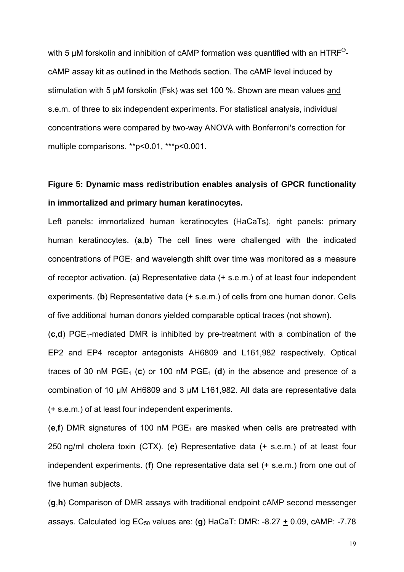with 5  $\mu$ M forskolin and inhibition of cAMP formation was quantified with an HTRF<sup>®</sup>cAMP assay kit as outlined in the Methods section. The cAMP level induced by stimulation with 5 µM forskolin (Fsk) was set 100 %. Shown are mean values and s.e.m. of three to six independent experiments. For statistical analysis, individual concentrations were compared by two-way ANOVA with Bonferroni's correction for multiple comparisons. \*\*p<0.01, \*\*\*p<0.001.

### **Figure 5: Dynamic mass redistribution enables analysis of GPCR functionality in immortalized and primary human keratinocytes.**

Left panels: immortalized human keratinocytes (HaCaTs), right panels: primary human keratinocytes. (**a**,**b**) The cell lines were challenged with the indicated concentrations of  $PGE_1$  and wavelength shift over time was monitored as a measure of receptor activation. (**a**) Representative data (+ s.e.m.) of at least four independent experiments. (**b**) Representative data (+ s.e.m.) of cells from one human donor. Cells of five additional human donors yielded comparable optical traces (not shown).

(c,d) PGE<sub>1</sub>-mediated DMR is inhibited by pre-treatment with a combination of the EP2 and EP4 receptor antagonists AH6809 and L161,982 respectively. Optical traces of 30 nM  $PGE_1$  (c) or 100 nM  $PGE_1$  (d) in the absence and presence of a combination of 10 µM AH6809 and 3 µM L161,982. All data are representative data (+ s.e.m.) of at least four independent experiments.

(e,f) DMR signatures of 100 nM PGE<sub>1</sub> are masked when cells are pretreated with 250 ng/ml cholera toxin (CTX). (**e**) Representative data (+ s.e.m.) of at least four independent experiments. (**f**) One representative data set (+ s.e.m.) from one out of five human subjects.

(**g**,**h**) Comparison of DMR assays with traditional endpoint cAMP second messenger assays. Calculated log  $EC_{50}$  values are: (g) HaCaT: DMR: -8.27  $\pm$  0.09, cAMP: -7.78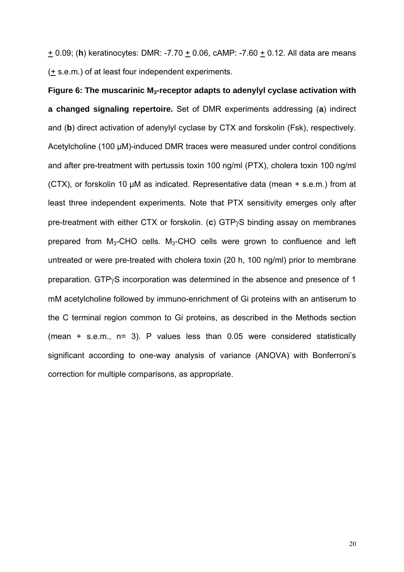+ 0.09; (**h**) keratinocytes: DMR: -7.70 + 0.06, cAMP: -7.60 + 0.12. All data are means (+ s.e.m.) of at least four independent experiments.

Figure 6: The muscarinic M<sub>3</sub>-receptor adapts to adenylyl cyclase activation with **a changed signaling repertoire.** Set of DMR experiments addressing (**a**) indirect and (**b**) direct activation of adenylyl cyclase by CTX and forskolin (Fsk), respectively. Acetylcholine (100 µM)-induced DMR traces were measured under control conditions and after pre-treatment with pertussis toxin 100 ng/ml (PTX), cholera toxin 100 ng/ml (CTX), or forskolin 10 µM as indicated. Representative data (mean + s.e.m.) from at least three independent experiments. Note that PTX sensitivity emerges only after pre-treatment with either CTX or forskolin. (**c**) GTPγS binding assay on membranes prepared from M3-CHO cells. M3-CHO cells were grown to confluence and left untreated or were pre-treated with cholera toxin (20 h, 100 ng/ml) prior to membrane preparation. GTPγS incorporation was determined in the absence and presence of 1 mM acetylcholine followed by immuno-enrichment of Gi proteins with an antiserum to the C terminal region common to Gi proteins, as described in the Methods section (mean + s.e.m., n= 3). P values less than 0.05 were considered statistically significant according to one-way analysis of variance (ANOVA) with Bonferroni's correction for multiple comparisons, as appropriate.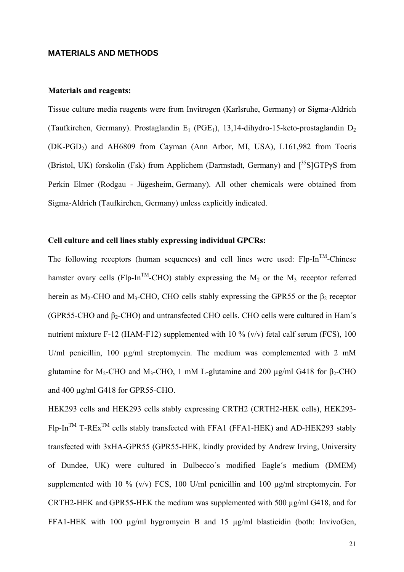### **MATERIALS AND METHODS**

#### **Materials and reagents:**

Tissue culture media reagents were from Invitrogen (Karlsruhe, Germany) or Sigma-Aldrich (Taufkirchen, Germany). Prostaglandin E<sub>1</sub> (PGE<sub>1</sub>), 13,14-dihydro-15-keto-prostaglandin D<sub>2</sub>  $(DK-PGD_2)$  and AH6809 from Cayman (Ann Arbor, MI, USA), L161,982 from Tocris (Bristol, UK) forskolin (Fsk) from Applichem (Darmstadt, Germany) and  $\int^{35} S \cdot |GTP \rangle S$  from Perkin Elmer (Rodgau - Jügesheim, Germany). All other chemicals were obtained from Sigma-Aldrich (Taufkirchen, Germany) unless explicitly indicated.

#### **Cell culture and cell lines stably expressing individual GPCRs:**

The following receptors (human sequences) and cell lines were used:  $F1p-In<sup>TM</sup>-Chinese$ hamster ovary cells (Flp-In<sup>TM</sup>-CHO) stably expressing the  $M_2$  or the  $M_3$  receptor referred herein as M<sub>2</sub>-CHO and M<sub>3</sub>-CHO, CHO cells stably expressing the GPR55 or the  $\beta_2$  receptor (GPR55-CHO and  $\beta_2$ -CHO) and untransfected CHO cells. CHO cells were cultured in Ham's nutrient mixture F-12 (HAM-F12) supplemented with 10 % (v/v) fetal calf serum (FCS), 100 U/ml penicillin, 100  $\mu$ g/ml streptomycin. The medium was complemented with 2 mM glutamine for M<sub>2</sub>-CHO and M<sub>3</sub>-CHO, 1 mM L-glutamine and 200 μg/ml G418 for β<sub>2</sub>-CHO and 400 µg/ml G418 for GPR55-CHO.

HEK293 cells and HEK293 cells stably expressing CRTH2 (CRTH2-HEK cells), HEK293-  $F$ lp-In<sup>TM</sup> T-REx<sup>TM</sup> cells stably transfected with FFA1 (FFA1-HEK) and AD-HEK293 stably transfected with 3xHA-GPR55 (GPR55-HEK, kindly provided by Andrew Irving, University of Dundee, UK) were cultured in Dulbecco´s modified Eagle´s medium (DMEM) supplemented with 10 % (v/v) FCS, 100 U/ml penicillin and 100  $\mu$ g/ml streptomycin. For CRTH2-HEK and GPR55-HEK the medium was supplemented with 500 µg/ml G418, and for FFA1-HEK with 100  $\mu$ g/ml hygromycin B and 15  $\mu$ g/ml blasticidin (both: InvivoGen,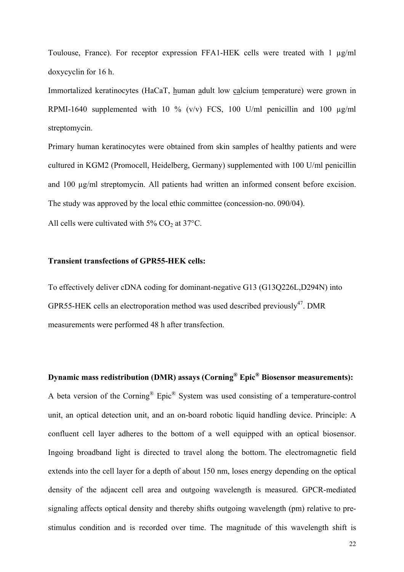Toulouse, France). For receptor expression FFA1-HEK cells were treated with 1 µg/ml doxycyclin for 16 h.

Immortalized keratinocytes (HaCaT, human adult low calcium temperature) were grown in RPMI-1640 supplemented with 10 %  $(v/v)$  FCS, 100 U/ml penicillin and 100  $\mu$ g/ml streptomycin.

Primary human keratinocytes were obtained from skin samples of healthy patients and were cultured in KGM2 (Promocell, Heidelberg, Germany) supplemented with 100 U/ml penicillin and 100  $\mu$ g/ml streptomycin. All patients had written an informed consent before excision. The study was approved by the local ethic committee (concession-no. 090/04).

All cells were cultivated with  $5\%$  CO<sub>2</sub> at  $37^{\circ}$ C.

### **Transient transfections of GPR55-HEK cells:**

To effectively deliver cDNA coding for dominant-negative G13 (G13Q226L,D294N) into GPR55-HEK cells an electroporation method was used described previously<sup>47</sup>. DMR measurements were performed 48 h after transfection.

**Dynamic mass redistribution (DMR) assays (Corning® Epic® Biosensor measurements):**  A beta version of the Corning® Epic® System was used consisting of a temperature-control unit, an optical detection unit, and an on-board robotic liquid handling device. Principle: A confluent cell layer adheres to the bottom of a well equipped with an optical biosensor. Ingoing broadband light is directed to travel along the bottom. The electromagnetic field extends into the cell layer for a depth of about 150 nm, loses energy depending on the optical density of the adjacent cell area and outgoing wavelength is measured. GPCR-mediated signaling affects optical density and thereby shifts outgoing wavelength (pm) relative to prestimulus condition and is recorded over time. The magnitude of this wavelength shift is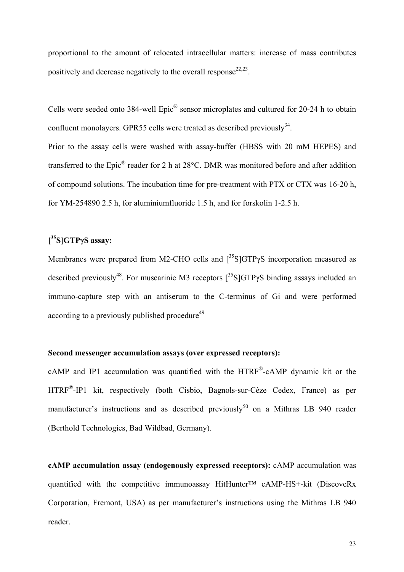proportional to the amount of relocated intracellular matters: increase of mass contributes positively and decrease negatively to the overall response  $22,23$ .

Cells were seeded onto 384-well Epic® sensor microplates and cultured for 20-24 h to obtain confluent monolayers. GPR55 cells were treated as described previously  $34$ .

Prior to the assay cells were washed with assay-buffer (HBSS with 20 mM HEPES) and transferred to the Epic® reader for 2 h at 28°C. DMR was monitored before and after addition of compound solutions. The incubation time for pre-treatment with PTX or CTX was 16-20 h, for YM-254890 2.5 h, for aluminiumfluoride 1.5 h, and for forskolin 1-2.5 h.

### **[ 35S]GTPγS assay:**

Membranes were prepared from M2-CHO cells and  $\int^{35} S \cdot \cdot S \cdot T \cdot P \cdot S$  incorporation measured as described previously<sup>48</sup>. For muscarinic M3 receptors  $\int^{35} S \cdot d\theta$  binding assays included an immuno-capture step with an antiserum to the C-terminus of Gi and were performed according to a previously published procedure<sup>49</sup>

### **Second messenger accumulation assays (over expressed receptors):**

cAMP and IP1 accumulation was quantified with the HTRF®-cAMP dynamic kit or the HTRF®-IP1 kit, respectively (both Cisbio, Bagnols-sur-Cèze Cedex, France) as per manufacturer's instructions and as described previously<sup>50</sup> on a Mithras LB 940 reader (Berthold Technologies, Bad Wildbad, Germany).

**cAMP accumulation assay (endogenously expressed receptors):** cAMP accumulation was quantified with the competitive immunoassay HitHunter™ cAMP-HS+-kit (DiscoveRx Corporation, Fremont, USA) as per manufacturer's instructions using the Mithras LB 940 reader.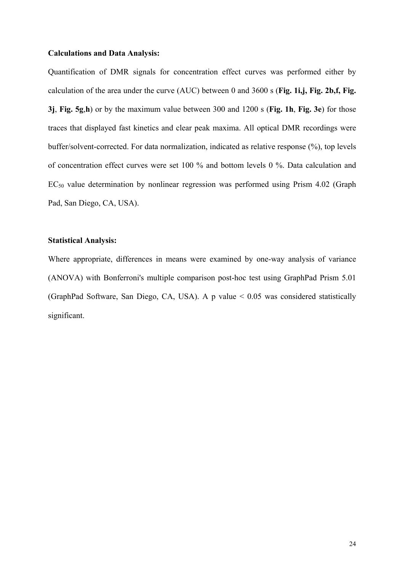#### **Calculations and Data Analysis:**

Quantification of DMR signals for concentration effect curves was performed either by calculation of the area under the curve (AUC) between 0 and 3600 s (**Fig. 1i,j, Fig. 2b,f, Fig. 3j**, **Fig. 5g**,**h**) or by the maximum value between 300 and 1200 s (**Fig. 1h**, **Fig. 3e**) for those traces that displayed fast kinetics and clear peak maxima. All optical DMR recordings were buffer/solvent-corrected. For data normalization, indicated as relative response (%), top levels of concentration effect curves were set 100 % and bottom levels 0 %. Data calculation and  $EC_{50}$  value determination by nonlinear regression was performed using Prism 4.02 (Graph Pad, San Diego, CA, USA).

### **Statistical Analysis:**

Where appropriate, differences in means were examined by one-way analysis of variance (ANOVA) with Bonferroni's multiple comparison post-hoc test using GraphPad Prism 5.01 (GraphPad Software, San Diego, CA, USA). A p value < 0.05 was considered statistically significant.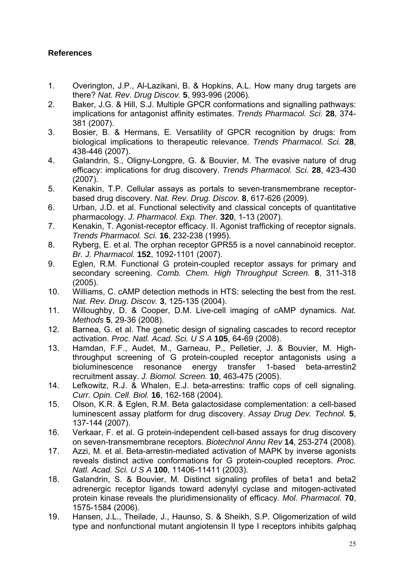### **References**

- 1. Overington, J.P., Al-Lazikani, B. & Hopkins, A.L. How many drug targets are there? *Nat. Rev. Drug Discov.* **5**, 993-996 (2006).
- 2. Baker, J.G. & Hill, S.J. Multiple GPCR conformations and signalling pathways: implications for antagonist affinity estimates. *Trends Pharmacol. Sci.* **28**, 374- 381 (2007).
- 3. Bosier, B. & Hermans, E. Versatility of GPCR recognition by drugs: from biological implications to therapeutic relevance. *Trends Pharmacol. Sci.* **28**, 438-446 (2007).
- 4. Galandrin, S., Oligny-Longpre, G. & Bouvier, M. The evasive nature of drug efficacy: implications for drug discovery. *Trends Pharmacol. Sci.* **28**, 423-430 (2007).
- 5. Kenakin, T.P. Cellular assays as portals to seven-transmembrane receptorbased drug discovery. *Nat. Rev. Drug. Discov.* **8**, 617-626 (2009).
- 6. Urban, J.D. et al. Functional selectivity and classical concepts of quantitative pharmacology. *J. Pharmacol. Exp. Ther.* **320**, 1-13 (2007).
- 7. Kenakin, T. Agonist-receptor efficacy. II. Agonist trafficking of receptor signals. *Trends Pharmacol. Sci.* **16**, 232-238 (1995).
- 8. Ryberg, E. et al. The orphan receptor GPR55 is a novel cannabinoid receptor. *Br. J. Pharmacol.* **152**, 1092-1101 (2007).
- 9. Eglen, R.M. Functional G protein-coupled receptor assays for primary and secondary screening. *Comb. Chem. High Throughput Screen.* **8**, 311-318 (2005).
- 10. Williams, C. cAMP detection methods in HTS: selecting the best from the rest. *Nat. Rev. Drug. Discov.* **3**, 125-135 (2004).
- 11. Willoughby, D. & Cooper, D.M. Live-cell imaging of cAMP dynamics. *Nat. Methods* **5**, 29-36 (2008).
- 12. Barnea, G. et al. The genetic design of signaling cascades to record receptor activation. *Proc. Natl. Acad. Sci. U S A* **105**, 64-69 (2008).
- 13. Hamdan, F.F., Audet, M., Garneau, P., Pelletier, J. & Bouvier, M. Highthroughput screening of G protein-coupled receptor antagonists using a bioluminescence resonance energy transfer 1-based beta-arrestin2 recruitment assay. *J. Biomol. Screen.* **10**, 463-475 (2005).
- 14. Lefkowitz, R.J. & Whalen, E.J. beta-arrestins: traffic cops of cell signaling. *Curr. Opin. Cell. Biol.* **16**, 162-168 (2004).
- 15. Olson, K.R. & Eglen, R.M. Beta galactosidase complementation: a cell-based luminescent assay platform for drug discovery. *Assay Drug Dev. Technol.* **5**, 137-144 (2007).
- 16. Verkaar, F. et al. G protein-independent cell-based assays for drug discovery on seven-transmembrane receptors. *Biotechnol Annu Rev* **14**, 253-274 (2008).
- 17. Azzi, M. et al. Beta-arrestin-mediated activation of MAPK by inverse agonists reveals distinct active conformations for G protein-coupled receptors. *Proc. Natl. Acad. Sci. U S A* **100**, 11406-11411 (2003).
- 18. Galandrin, S. & Bouvier, M. Distinct signaling profiles of beta1 and beta2 adrenergic receptor ligands toward adenylyl cyclase and mitogen-activated protein kinase reveals the pluridimensionality of efficacy. *Mol. Pharmacol.* **70**, 1575-1584 (2006).
- 19. Hansen, J.L., Theilade, J., Haunso, S. & Sheikh, S.P. Oligomerization of wild type and nonfunctional mutant angiotensin II type I receptors inhibits galphaq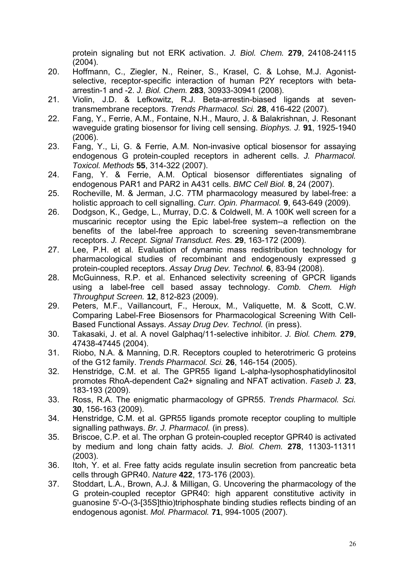protein signaling but not ERK activation. *J. Biol. Chem.* **279**, 24108-24115 (2004).

- 20. Hoffmann, C., Ziegler, N., Reiner, S., Krasel, C. & Lohse, M.J. Agonistselective, receptor-specific interaction of human P2Y receptors with betaarrestin-1 and -2. *J. Biol. Chem.* **283**, 30933-30941 (2008).
- 21. Violin, J.D. & Lefkowitz, R.J. Beta-arrestin-biased ligands at seventransmembrane receptors. *Trends Pharmacol. Sci.* **28**, 416-422 (2007).
- 22. Fang, Y., Ferrie, A.M., Fontaine, N.H., Mauro, J. & Balakrishnan, J. Resonant waveguide grating biosensor for living cell sensing. *Biophys. J.* **91**, 1925-1940 (2006).
- 23. Fang, Y., Li, G. & Ferrie, A.M. Non-invasive optical biosensor for assaying endogenous G protein-coupled receptors in adherent cells. *J. Pharmacol. Toxicol. Methods* **55**, 314-322 (2007).
- 24. Fang, Y. & Ferrie, A.M. Optical biosensor differentiates signaling of endogenous PAR1 and PAR2 in A431 cells. *BMC Cell Biol.* **8**, 24 (2007).
- 25. Rocheville, M. & Jerman, J.C. 7TM pharmacology measured by label-free: a holistic approach to cell signalling. *Curr. Opin. Pharmacol.* **9**, 643-649 (2009).
- 26. Dodgson, K., Gedge, L., Murray, D.C. & Coldwell, M. A 100K well screen for a muscarinic receptor using the Epic label-free system--a reflection on the benefits of the label-free approach to screening seven-transmembrane receptors. *J. Recept. Signal Transduct. Res.* **29**, 163-172 (2009).
- 27. Lee, P.H. et al. Evaluation of dynamic mass redistribution technology for pharmacological studies of recombinant and endogenously expressed g protein-coupled receptors. *Assay Drug Dev. Technol.* **6**, 83-94 (2008).
- 28. McGuinness, R.P. et al. Enhanced selectivity screening of GPCR ligands using a label-free cell based assay technology. *Comb. Chem. High Throughput Screen.* **12**, 812-823 (2009).
- 29. Peters, M.F., Vaillancourt, F., Heroux, M., Valiquette, M. & Scott, C.W. Comparing Label-Free Biosensors for Pharmacological Screening With Cell-Based Functional Assays. *Assay Drug Dev. Technol.* (in press).
- 30. Takasaki, J. et al. A novel Galphaq/11-selective inhibitor. *J. Biol. Chem.* **279**, 47438-47445 (2004).
- 31. Riobo, N.A. & Manning, D.R. Receptors coupled to heterotrimeric G proteins of the G12 family. *Trends Pharmacol. Sci.* **26**, 146-154 (2005).
- 32. Henstridge, C.M. et al. The GPR55 ligand L-alpha-lysophosphatidylinositol promotes RhoA-dependent Ca2+ signaling and NFAT activation. *Faseb J.* **23**, 183-193 (2009).
- 33. Ross, R.A. The enigmatic pharmacology of GPR55. *Trends Pharmacol. Sci.* **30**, 156-163 (2009).
- 34. Henstridge, C.M. et al. GPR55 ligands promote receptor coupling to multiple signalling pathways. *Br. J. Pharmacol.* (in press).
- 35. Briscoe, C.P. et al. The orphan G protein-coupled receptor GPR40 is activated by medium and long chain fatty acids. *J. Biol. Chem.* **278**, 11303-11311 (2003).
- 36. Itoh, Y. et al. Free fatty acids regulate insulin secretion from pancreatic beta cells through GPR40. *Nature* **422**, 173-176 (2003).
- 37. Stoddart, L.A., Brown, A.J. & Milligan, G. Uncovering the pharmacology of the G protein-coupled receptor GPR40: high apparent constitutive activity in guanosine 5'-O-(3-[35S]thio)triphosphate binding studies reflects binding of an endogenous agonist. *Mol. Pharmacol.* **71**, 994-1005 (2007).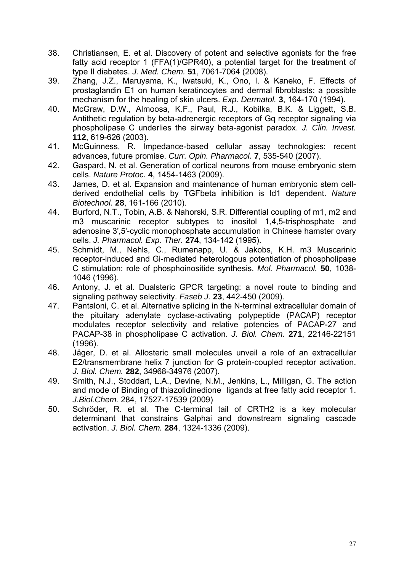- 38. Christiansen, E. et al. Discovery of potent and selective agonists for the free fatty acid receptor 1 (FFA(1)/GPR40), a potential target for the treatment of type II diabetes. *J. Med. Chem.* **51**, 7061-7064 (2008).
- 39. Zhang, J.Z., Maruyama, K., Iwatsuki, K., Ono, I. & Kaneko, F. Effects of prostaglandin E1 on human keratinocytes and dermal fibroblasts: a possible mechanism for the healing of skin ulcers. *Exp. Dermatol.* **3**, 164-170 (1994).
- 40. McGraw, D.W., Almoosa, K.F., Paul, R.J., Kobilka, B.K. & Liggett, S.B. Antithetic regulation by beta-adrenergic receptors of Gq receptor signaling via phospholipase C underlies the airway beta-agonist paradox. *J. Clin. Invest.* **112**, 619-626 (2003).
- 41. McGuinness, R. Impedance-based cellular assay technologies: recent advances, future promise. *Curr. Opin. Pharmacol.* **7**, 535-540 (2007).
- 42. Gaspard, N. et al. Generation of cortical neurons from mouse embryonic stem cells. *Nature Protoc.* **4**, 1454-1463 (2009).
- 43. James, D. et al. Expansion and maintenance of human embryonic stem cellderived endothelial cells by TGFbeta inhibition is Id1 dependent. *Nature Biotechnol.* **28**, 161-166 (2010).
- 44. Burford, N.T., Tobin, A.B. & Nahorski, S.R. Differential coupling of m1, m2 and m3 muscarinic receptor subtypes to inositol 1,4,5-trisphosphate and adenosine 3',5'-cyclic monophosphate accumulation in Chinese hamster ovary cells. *J. Pharmacol. Exp. Ther.* **274**, 134-142 (1995).
- 45. Schmidt, M., Nehls, C., Rumenapp, U. & Jakobs, K.H. m3 Muscarinic receptor-induced and Gi-mediated heterologous potentiation of phospholipase C stimulation: role of phosphoinositide synthesis. *Mol. Pharmacol.* **50**, 1038- 1046 (1996).
- 46. Antony, J. et al. Dualsteric GPCR targeting: a novel route to binding and signaling pathway selectivity. *Faseb J.* **23**, 442-450 (2009).
- 47. Pantaloni, C. et al. Alternative splicing in the N-terminal extracellular domain of the pituitary adenylate cyclase-activating polypeptide (PACAP) receptor modulates receptor selectivity and relative potencies of PACAP-27 and PACAP-38 in phospholipase C activation. *J. Biol. Chem.* **271**, 22146-22151 (1996).
- 48. Jäger, D. et al. Allosteric small molecules unveil a role of an extracellular E2/transmembrane helix 7 junction for G protein-coupled receptor activation. *J. Biol. Chem.* **282**, 34968-34976 (2007).
- 49. Smith, N.J., Stoddart, L.A., Devine, N.M., Jenkins, L., Milligan, G. The action and mode of Binding of thiazolidinedione ligands at free fatty acid receptor 1. *J.Biol.Chem.* 284, 17527-17539 (2009)
- 50. Schröder, R. et al. The C-terminal tail of CRTH2 is a key molecular determinant that constrains Galphai and downstream signaling cascade activation. *J. Biol. Chem.* **284**, 1324-1336 (2009).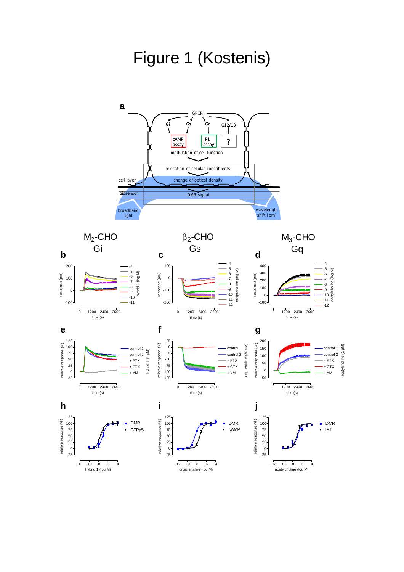## Figure 1 (Kostenis)

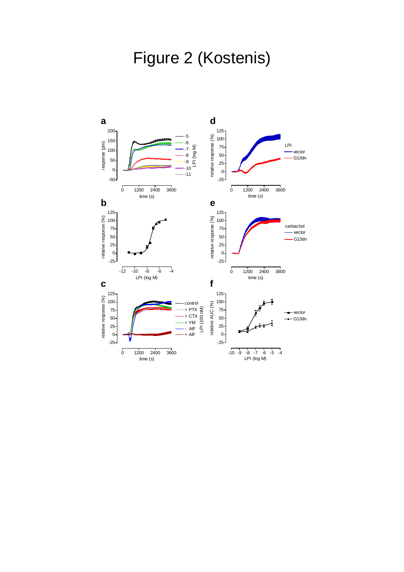# Figure 2 (Kostenis)

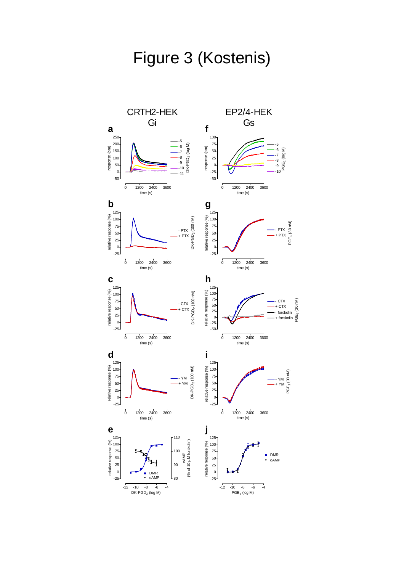## Figure 3 (Kostenis)

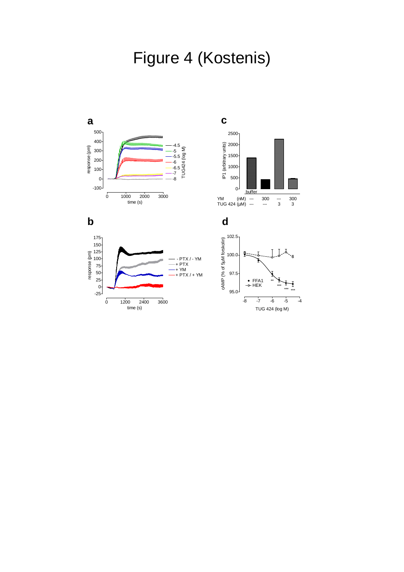# Figure 4 (Kostenis)



TUG 424 (log M)

time (s)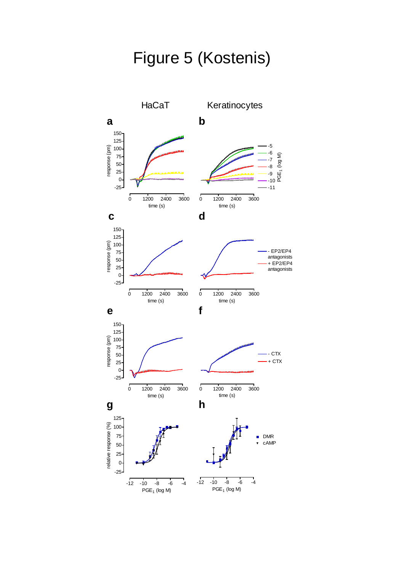# Figure 5 (Kostenis)

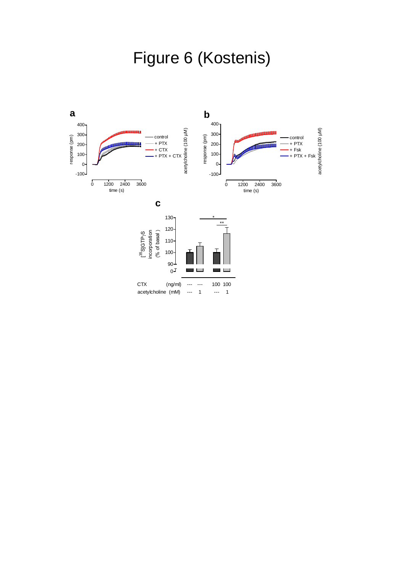# Figure 6 (Kostenis)

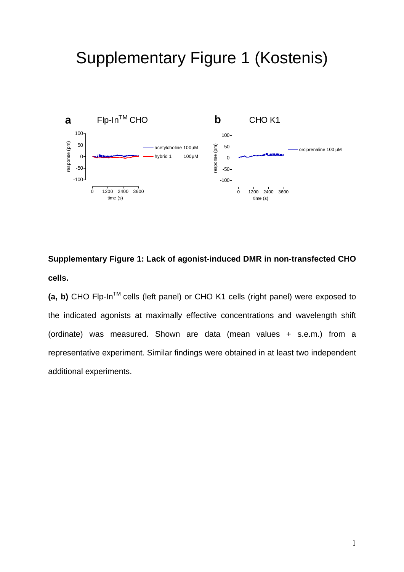## Supplementary Figure 1 (Kostenis)



**Supplementary Figure 1: Lack of agonist-induced DMR in non-transfected CHO cells.** 

**(a, b)** CHO Flp-In<sup>™</sup> cells (left panel) or CHO K1 cells (right panel) were exposed to the indicated agonists at maximally effective concentrations and wavelength shift (ordinate) was measured. Shown are data (mean values + s.e.m.) from a representative experiment. Similar findings were obtained in at least two independent additional experiments.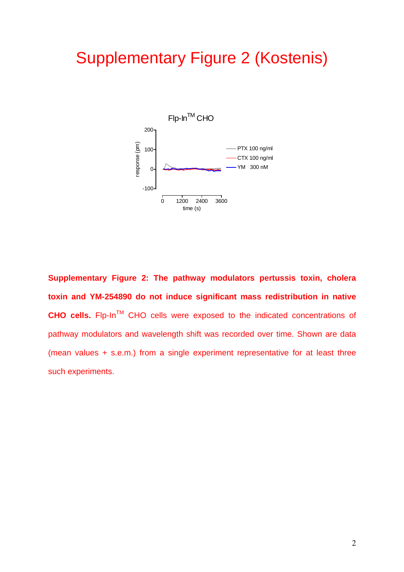## Supplementary Figure 2 (Kostenis)



**Supplementary Figure 2: The pathway modulators pertussis toxin, cholera toxin and YM-254890 do not induce significant mass redistribution in native**  CHO cells. Flp-In<sup>™</sup> CHO cells were exposed to the indicated concentrations of pathway modulators and wavelength shift was recorded over time. Shown are data (mean values + s.e.m.) from a single experiment representative for at least three such experiments.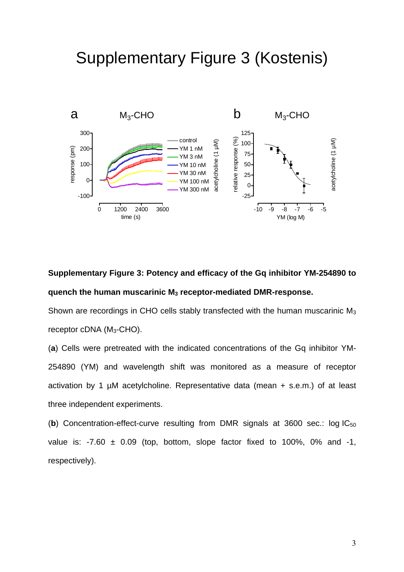## Supplementary Figure 3 (Kostenis)



**Supplementary Figure 3: Potency and efficacy of the Gq inhibitor YM-254890 to quench the human muscarinic M3 receptor-mediated DMR-response.**

Shown are recordings in CHO cells stably transfected with the human muscarinic  $M_3$ receptor cDNA (M3-CHO).

(**a**) Cells were pretreated with the indicated concentrations of the Gq inhibitor YM-254890 (YM) and wavelength shift was monitored as a measure of receptor activation by 1 µM acetylcholine. Representative data (mean + s.e.m.) of at least three independent experiments.

(b) Concentration-effect-curve resulting from DMR signals at 3600 sec.:  $log IC_{50}$ value is:  $-7.60 \pm 0.09$  (top, bottom, slope factor fixed to 100%, 0% and  $-1$ , respectively).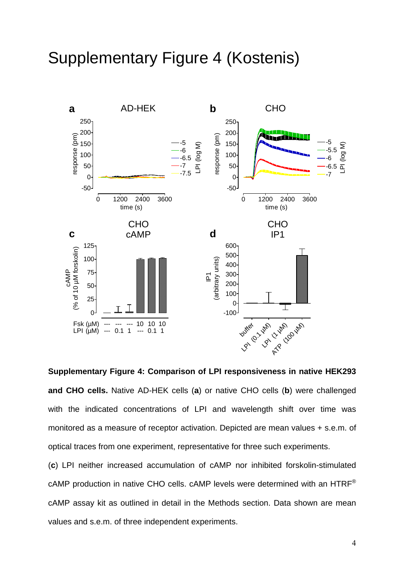## Supplementary Figure 4 (Kostenis)



**Supplementary Figure 4: Comparison of LPI responsiveness in native HEK293 and CHO cells.** Native AD-HEK cells (**a**) or native CHO cells (**b**) were challenged with the indicated concentrations of LPI and wavelength shift over time was monitored as a measure of receptor activation. Depicted are mean values + s.e.m. of optical traces from one experiment, representative for three such experiments.

(**c**) LPI neither increased accumulation of cAMP nor inhibited forskolin-stimulated cAMP production in native CHO cells. cAMP levels were determined with an HTRF® cAMP assay kit as outlined in detail in the Methods section. Data shown are mean values and s.e.m. of three independent experiments.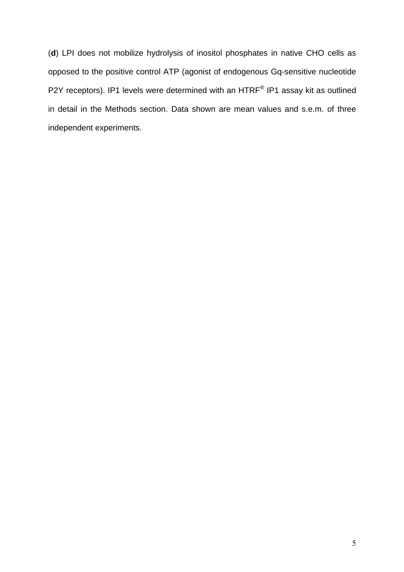(**d**) LPI does not mobilize hydrolysis of inositol phosphates in native CHO cells as opposed to the positive control ATP (agonist of endogenous Gq-sensitive nucleotide P2Y receptors). IP1 levels were determined with an HTRF<sup>®</sup> IP1 assay kit as outlined in detail in the Methods section. Data shown are mean values and s.e.m. of three independent experiments.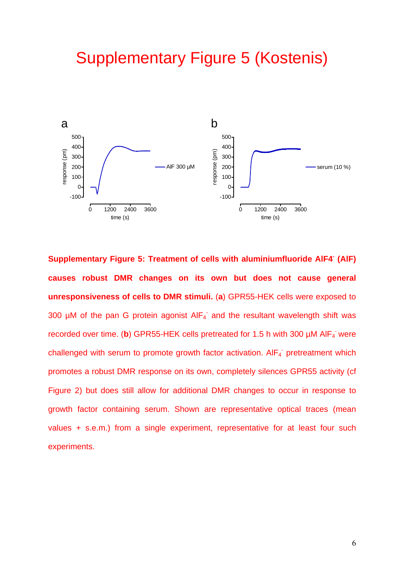## Supplementary Figure 5 (Kostenis)



**Supplementary Figure 5: Treatment of cells with aluminiumfluoride AlF4- (AlF) causes robust DMR changes on its own but does not cause general unresponsiveness of cells to DMR stimuli.** (**a**) GPR55-HEK cells were exposed to 300  $\mu$ M of the pan G protein agonist AIF<sub>4</sub><sup>-</sup> and the resultant wavelength shift was recorded over time. (b) GPR55-HEK cells pretreated for 1.5 h with 300  $\mu$ M AlF<sub>4</sub><sup>-</sup> were challenged with serum to promote growth factor activation.  $AIF_4$  pretreatment which promotes a robust DMR response on its own, completely silences GPR55 activity (cf Figure 2) but does still allow for additional DMR changes to occur in response to growth factor containing serum. Shown are representative optical traces (mean values + s.e.m.) from a single experiment, representative for at least four such experiments.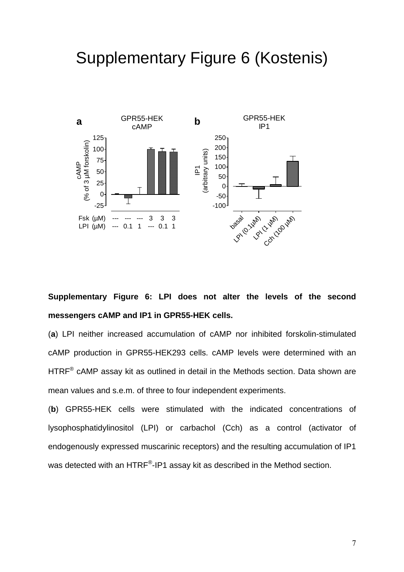## Supplementary Figure 6 (Kostenis)



**Supplementary Figure 6: LPI does not alter the levels of the second messengers cAMP and IP1 in GPR55-HEK cells.** 

(**a**) LPI neither increased accumulation of cAMP nor inhibited forskolin-stimulated cAMP production in GPR55-HEK293 cells. cAMP levels were determined with an  $HTRF<sup>®</sup>$  cAMP assay kit as outlined in detail in the Methods section. Data shown are mean values and s.e.m. of three to four independent experiments.

(**b**) GPR55-HEK cells were stimulated with the indicated concentrations of lysophosphatidylinositol (LPI) or carbachol (Cch) as a control (activator of endogenously expressed muscarinic receptors) and the resulting accumulation of IP1 was detected with an HTRF®-IP1 assay kit as described in the Method section.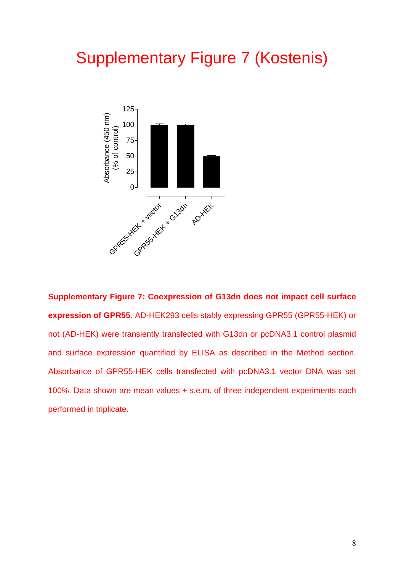## Supplementary Figure 7 (Kostenis)



**Supplementary Figure 7: Coexpression of G13dn does not impact cell surface expression of GPR55.** AD-HEK293 cells stably expressing GPR55 (GPR55-HEK) or not (AD-HEK) were transiently transfected with G13dn or pcDNA3.1 control plasmid and surface expression quantified by ELISA as described in the Method section. Absorbance of GPR55-HEK cells transfected with pcDNA3.1 vector DNA was set 100%. Data shown are mean values + s.e.m. of three independent experiments each performed in triplicate.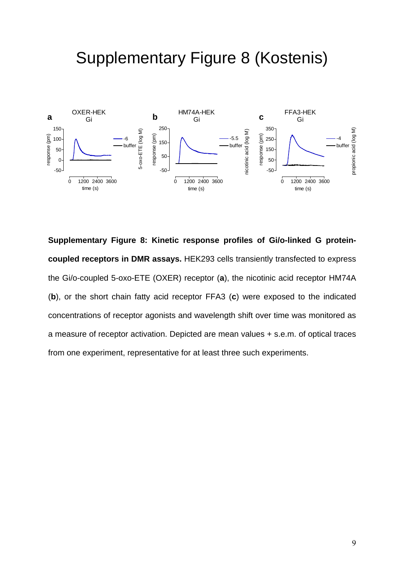## Supplementary Figure 8 (Kostenis)



**Supplementary Figure 8: Kinetic response profiles of Gi/o-linked G proteincoupled receptors in DMR assays.** HEK293 cells transiently transfected to express the Gi/o-coupled 5-oxo-ETE (OXER) receptor (**a**), the nicotinic acid receptor HM74A (**b**), or the short chain fatty acid receptor FFA3 (**c**) were exposed to the indicated concentrations of receptor agonists and wavelength shift over time was monitored as a measure of receptor activation. Depicted are mean values + s.e.m. of optical traces from one experiment, representative for at least three such experiments.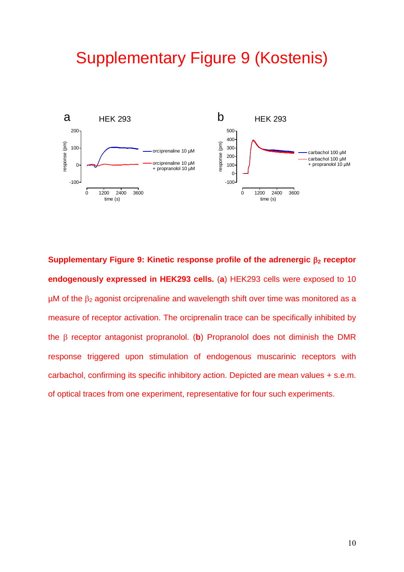## Supplementary Figure 9 (Kostenis)



**Supplementary Figure 9: Kinetic response profile of the adrenergic** β**2 receptor endogenously expressed in HEK293 cells.** (**a**) HEK293 cells were exposed to 10  $\mu$ M of the  $\beta_2$  agonist orciprenaline and wavelength shift over time was monitored as a measure of receptor activation. The orciprenalin trace can be specifically inhibited by the β receptor antagonist propranolol. (**b**) Propranolol does not diminish the DMR response triggered upon stimulation of endogenous muscarinic receptors with carbachol, confirming its specific inhibitory action. Depicted are mean values + s.e.m. of optical traces from one experiment, representative for four such experiments.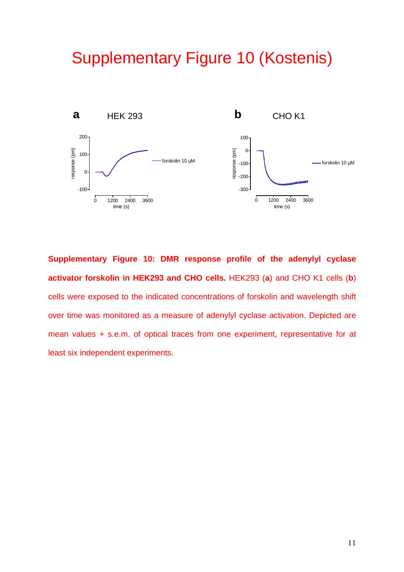## Supplementary Figure 10 (Kostenis)



**Supplementary Figure 10: DMR response profile of the adenylyl cyclase activator forskolin in HEK293 and CHO cells.** HEK293 (**a**) and CHO K1 cells (**b**) cells were exposed to the indicated concentrations of forskolin and wavelength shift over time was monitored as a measure of adenylyl cyclase activation. Depicted are mean values + s.e.m. of optical traces from one experiment, representative for at least six independent experiments.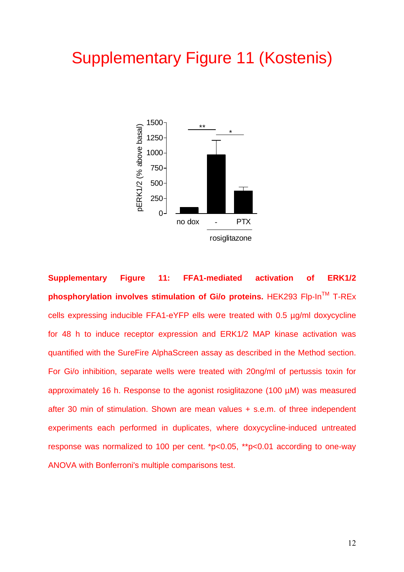## Supplementary Figure 11 (Kostenis)



**Supplementary Figure 11: FFA1-mediated activation of ERK1/2 phosphorylation involves stimulation of Gi/o proteins.** HEK293 Flp-In™ T-REx cells expressing inducible FFA1-eYFP ells were treated with 0.5 µg/ml doxycycline for 48 h to induce receptor expression and ERK1/2 MAP kinase activation was quantified with the SureFire AlphaScreen assay as described in the Method section. For Gi/o inhibition, separate wells were treated with 20ng/ml of pertussis toxin for approximately 16 h. Response to the agonist rosiglitazone (100 µM) was measured after 30 min of stimulation. Shown are mean values + s.e.m. of three independent experiments each performed in duplicates, where doxycycline-induced untreated response was normalized to 100 per cent. \*p<0.05, \*\*p<0.01 according to one-way ANOVA with Bonferroni's multiple comparisons test.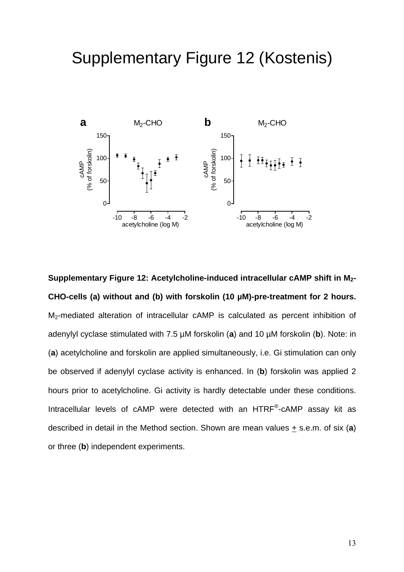## Supplementary Figure 12 (Kostenis)



**Supplementary Figure 12: Acetylcholine-induced intracellular cAMP shift in M2- CHO-cells (a) without and (b) with forskolin (10 µM)-pre-treatment for 2 hours.**  M<sub>2</sub>-mediated alteration of intracellular cAMP is calculated as percent inhibition of adenylyl cyclase stimulated with 7.5 µM forskolin (**a**) and 10 µM forskolin (**b**). Note: in (**a**) acetylcholine and forskolin are applied simultaneously, i.e. Gi stimulation can only be observed if adenylyl cyclase activity is enhanced. In (**b**) forskolin was applied 2 hours prior to acetylcholine. Gi activity is hardly detectable under these conditions. Intracellular levels of cAMP were detected with an HTRF®-cAMP assay kit as described in detail in the Method section. Shown are mean values + s.e.m. of six (**a**) or three (**b**) independent experiments.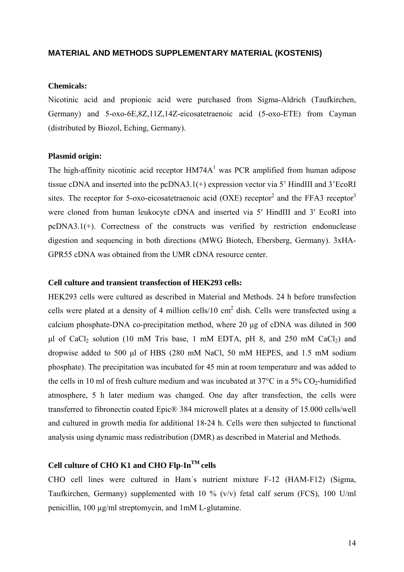### **MATERIAL AND METHODS SUPPLEMENTARY MATERIAL (KOSTENIS)**

### **Chemicals:**

Nicotinic acid and propionic acid were purchased from Sigma-Aldrich (Taufkirchen, Germany) and 5-oxo-6E,8Z,11Z,14Z-eicosatetraenoic acid (5-oxo-ETE) from Cayman (distributed by Biozol, Eching, Germany).

#### **Plasmid origin:**

The high-affinity nicotinic acid receptor  $H M 74A<sup>1</sup>$  was PCR amplified from human adipose tissue cDNA and inserted into the pcDNA3.1(+) expression vector via 5' HindIII and 3'EcoRI sites. The receptor for 5-oxo-eicosatetraenoic acid (OXE) receptor<sup>2</sup> and the FFA3 receptor<sup>3</sup> were cloned from human leukocyte cDNA and inserted via 5' HindIII and 3' EcoRI into pcDNA3.1(+). Correctness of the constructs was verified by restriction endonuclease digestion and sequencing in both directions (MWG Biotech, Ebersberg, Germany). 3xHA-GPR55 cDNA was obtained from the UMR cDNA resource center.

### **Cell culture and transient transfection of HEK293 cells:**

HEK293 cells were cultured as described in Material and Methods. 24 h before transfection cells were plated at a density of 4 million cells/10 cm<sup>2</sup> dish. Cells were transfected using a calcium phosphate-DNA co-precipitation method, where 20 μg of cDNA was diluted in 500 μl of CaCl<sub>2</sub> solution (10 mM Tris base, 1 mM EDTA, pH 8, and 250 mM CaCl<sub>2</sub>) and dropwise added to 500 μl of HBS (280 mM NaCl, 50 mM HEPES, and 1.5 mM sodium phosphate). The precipitation was incubated for 45 min at room temperature and was added to the cells in 10 ml of fresh culture medium and was incubated at  $37^{\circ}$ C in a  $5\%$  CO<sub>2</sub>-humidified atmosphere, 5 h later medium was changed. One day after transfection, the cells were transferred to fibronectin coated Epic® 384 microwell plates at a density of 15.000 cells/well and cultured in growth media for additional 18-24 h. Cells were then subjected to functional analysis using dynamic mass redistribution (DMR) as described in Material and Methods.

### **Cell culture of CHO K1 and CHO Flp-InTM cells**

CHO cell lines were cultured in Ham´s nutrient mixture F-12 (HAM-F12) (Sigma, Taufkirchen, Germany) supplemented with 10 % (v/v) fetal calf serum (FCS), 100 U/ml penicillin, 100 µg/ml streptomycin, and 1mM L-glutamine.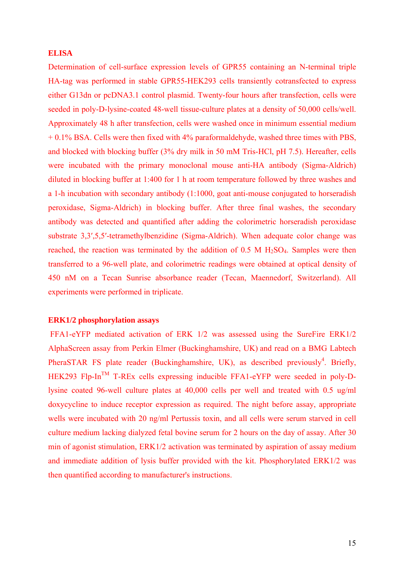### **ELISA**

Determination of cell-surface expression levels of GPR55 containing an N-terminal triple HA-tag was performed in stable GPR55-HEK293 cells transiently cotransfected to express either G13dn or pcDNA3.1 control plasmid. Twenty-four hours after transfection, cells were seeded in poly-D-lysine-coated 48-well tissue-culture plates at a density of 50,000 cells/well. Approximately 48 h after transfection, cells were washed once in minimum essential medium + 0.1% BSA. Cells were then fixed with 4% paraformaldehyde, washed three times with PBS, and blocked with blocking buffer (3% dry milk in 50 mM Tris-HCl, pH 7.5). Hereafter, cells were incubated with the primary monoclonal mouse anti-HA antibody (Sigma-Aldrich) diluted in blocking buffer at 1:400 for 1 h at room temperature followed by three washes and a 1-h incubation with secondary antibody (1:1000, goat anti-mouse conjugated to horseradish peroxidase, Sigma-Aldrich) in blocking buffer. After three final washes, the secondary antibody was detected and quantified after adding the colorimetric horseradish peroxidase substrate 3,3′,5,5′-tetramethylbenzidine (Sigma-Aldrich). When adequate color change was reached, the reaction was terminated by the addition of  $0.5$  M  $H<sub>2</sub>SO<sub>4</sub>$ . Samples were then transferred to a 96-well plate, and colorimetric readings were obtained at optical density of 450 nM on a Tecan Sunrise absorbance reader (Tecan, Maennedorf, Switzerland). All experiments were performed in triplicate.

### **ERK1/2 phosphorylation assays**

 FFA1-eYFP mediated activation of ERK 1/2 was assessed using the SureFire ERK1/2 AlphaScreen assay from Perkin Elmer (Buckinghamshire, UK) and read on a BMG Labtech PheraSTAR FS plate reader (Buckinghamshire, UK), as described previously<sup>4</sup>. Briefly, HEK293 Flp-In<sup>TM</sup> T-REx cells expressing inducible FFA1-eYFP were seeded in poly-Dlysine coated 96-well culture plates at 40,000 cells per well and treated with 0.5 ug/ml doxycycline to induce receptor expression as required. The night before assay, appropriate wells were incubated with 20 ng/ml Pertussis toxin, and all cells were serum starved in cell culture medium lacking dialyzed fetal bovine serum for 2 hours on the day of assay. After 30 min of agonist stimulation, ERK1/2 activation was terminated by aspiration of assay medium and immediate addition of lysis buffer provided with the kit. Phosphorylated ERK1/2 was then quantified according to manufacturer's instructions.